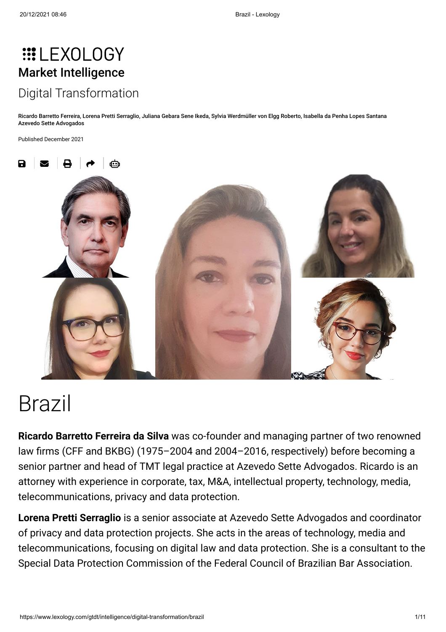# **:::LEXOLOGY** [Market Intelligence](https://www.lexology.com/gtdt/intelligence) [Digital Transformation](https://www.lexology.com/gtdt/intelligence/digital-transformation)

[Ricardo Barretto Ferreira,](https://www.lexology.com/17495/author/Ricardo_Barretto_Ferreira/) [Lorena Pretti Serraglio,](https://www.lexology.com/17495/author/Lorena_Pretti_Serraglio/) [Juliana Gebara Sene Ikeda](https://www.lexology.com/17495/author/Juliana_Gebara_Sene_Ikeda/), [Sylvia Werdmüller von Elgg Roberto,](https://www.lexology.com/17495/author/Sylvia_Werdm_ller_von_Elgg_Roberto/) [Isabella da Penha Lopes Santana](https://www.lexology.com/17495/author/Isabella_da_Penha_Lopes_Santana/) [Azevedo Sette Advogados](https://www.lexology.com/contributors/17495)

Published December 2021



# Brazil

**Ricardo Barretto Ferreira da Silva** was co-founder and managing partner of two renowned law firms (CFF and BKBG) (1975–2004 and 2004–2016, respectively) before becoming a senior partner and head of TMT legal practice at Azevedo Sette Advogados. Ricardo is an attorney with experience in corporate, tax, M&A, intellectual property, technology, media, telecommunications, privacy and data protection.

**Lorena Pretti Serraglio** is a senior associate at Azevedo Sette Advogados and coordinator of privacy and data protection projects. She acts in the areas of technology, media and telecommunications, focusing on digital law and data protection. She is a consultant to the Special Data Protection Commission of the Federal Council of Brazilian Bar Association.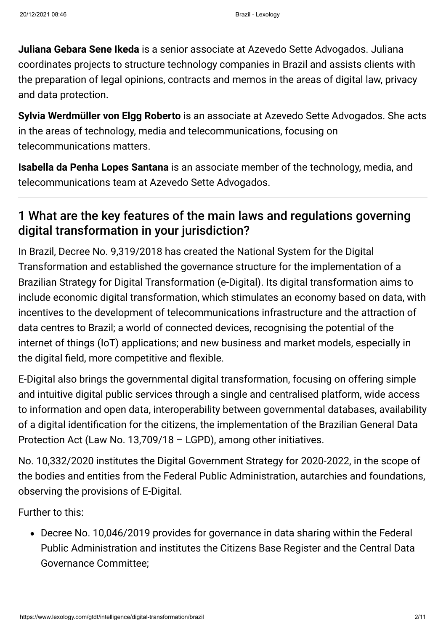**Juliana Gebara Sene Ikeda** is a senior associate at Azevedo Sette Advogados. Juliana coordinates projects to structure technology companies in Brazil and assists clients with the preparation of legal opinions, contracts and memos in the areas of digital law, privacy and data protection.

**Sylvia Werdmüller von Elgg Roberto** is an associate at Azevedo Sette Advogados. She acts in the areas of technology, media and telecommunications, focusing on telecommunications matters.

**Isabella da Penha Lopes Santana** is an associate member of the technology, media, and telecommunications team at Azevedo Sette Advogados.

## 1 What are the key features of the main laws and regulations governing digital transformation in your jurisdiction?

In Brazil, Decree No. 9,319/2018 has created the National System for the Digital Transformation and established the governance structure for the implementation of a Brazilian Strategy for Digital Transformation (e-Digital). Its digital transformation aims to include economic digital transformation, which stimulates an economy based on data, with incentives to the development of telecommunications infrastructure and the attraction of data centres to Brazil; a world of connected devices, recognising the potential of the internet of things (IoT) applications; and new business and market models, especially in the digital field, more competitive and flexible.

E-Digital also brings the governmental digital transformation, focusing on offering simple and intuitive digital public services through a single and centralised platform, wide access to information and open data, interoperability between governmental databases, availability of a digital identification for the citizens, the implementation of the Brazilian General Data Protection Act (Law No. 13,709/18 – LGPD), among other initiatives.

No. 10,332/2020 institutes the Digital Government Strategy for 2020-2022, in the scope of the bodies and entities from the Federal Public Administration, autarchies and foundations, observing the provisions of E-Digital.

Further to this:

Decree No. 10,046/2019 provides for governance in data sharing within the Federal Public Administration and institutes the Citizens Base Register and the Central Data Governance Committee;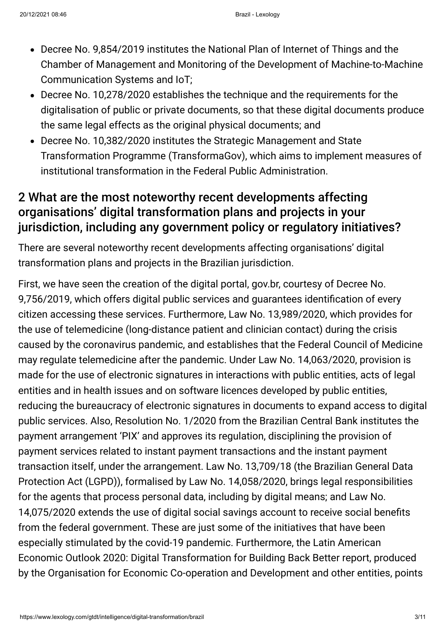- Decree No. 9,854/2019 institutes the National Plan of Internet of Things and the Chamber of Management and Monitoring of the Development of Machine-to-Machine Communication Systems and IoT;
- Decree No. 10,278/2020 establishes the technique and the requirements for the digitalisation of public or private documents, so that these digital documents produce the same legal effects as the original physical documents; and
- Decree No. 10,382/2020 institutes the Strategic Management and State Transformation Programme (TransformaGov), which aims to implement measures of institutional transformation in the Federal Public Administration.

#### 2 What are the most noteworthy recent developments affecting organisations' digital transformation plans and projects in your jurisdiction, including any government policy or regulatory initiatives?

There are several noteworthy recent developments affecting organisations' digital transformation plans and projects in the Brazilian jurisdiction.

First, we have seen the creation of the digital portal, gov.br, courtesy of Decree No. 9,756/2019, which offers digital public services and guarantees identification of every citizen accessing these services. Furthermore, Law No. 13,989/2020, which provides for the use of telemedicine (long-distance patient and clinician contact) during the crisis caused by the coronavirus pandemic, and establishes that the Federal Council of Medicine may regulate telemedicine after the pandemic. Under Law No. 14,063/2020, provision is made for the use of electronic signatures in interactions with public entities, acts of legal entities and in health issues and on software licences developed by public entities, reducing the bureaucracy of electronic signatures in documents to expand access to digital public services. Also, Resolution No. 1/2020 from the Brazilian Central Bank institutes the payment arrangement 'PIX' and approves its regulation, disciplining the provision of payment services related to instant payment transactions and the instant payment transaction itself, under the arrangement. Law No. 13,709/18 (the Brazilian General Data Protection Act (LGPD)), formalised by Law No. 14,058/2020, brings legal responsibilities for the agents that process personal data, including by digital means; and Law No. 14,075/2020 extends the use of digital social savings account to receive social benefits from the federal government. These are just some of the initiatives that have been especially stimulated by the covid-19 pandemic. Furthermore, the Latin American Economic Outlook 2020: Digital Transformation for Building Back Better report, produced by the Organisation for Economic Co-operation and Development and other entities, points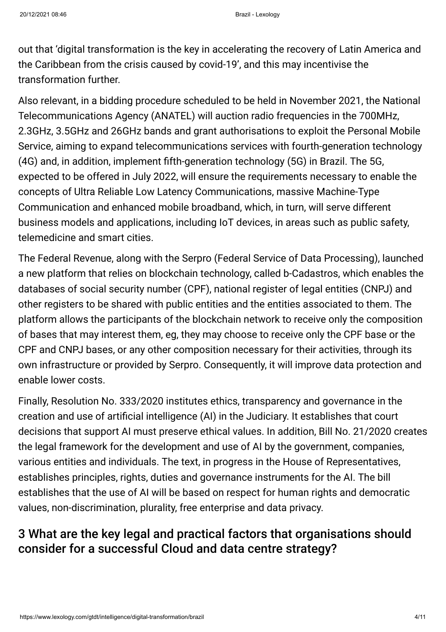out that 'digital transformation is the key in accelerating the recovery of Latin America and the Caribbean from the crisis caused by covid-19', and this may incentivise the transformation further.

Also relevant, in a bidding procedure scheduled to be held in November 2021, the National Telecommunications Agency (ANATEL) will auction radio frequencies in the 700MHz, 2.3GHz, 3.5GHz and 26GHz bands and grant authorisations to exploit the Personal Mobile Service, aiming to expand telecommunications services with fourth-generation technology (4G) and, in addition, implement fifth-generation technology (5G) in Brazil. The 5G, expected to be offered in July 2022, will ensure the requirements necessary to enable the concepts of Ultra Reliable Low Latency Communications, massive Machine-Type Communication and enhanced mobile broadband, which, in turn, will serve different business models and applications, including IoT devices, in areas such as public safety, telemedicine and smart cities.

The Federal Revenue, along with the Serpro (Federal Service of Data Processing), launched a new platform that relies on blockchain technology, called b-Cadastros, which enables the databases of social security number (CPF), national register of legal entities (CNPJ) and other registers to be shared with public entities and the entities associated to them. The platform allows the participants of the blockchain network to receive only the composition of bases that may interest them, eg, they may choose to receive only the CPF base or the CPF and CNPJ bases, or any other composition necessary for their activities, through its own infrastructure or provided by Serpro. Consequently, it will improve data protection and enable lower costs.

Finally, Resolution No. 333/2020 institutes ethics, transparency and governance in the creation and use of artificial intelligence (AI) in the Judiciary. It establishes that court decisions that support AI must preserve ethical values. In addition, Bill No. 21/2020 creates the legal framework for the development and use of AI by the government, companies, various entities and individuals. The text, in progress in the House of Representatives, establishes principles, rights, duties and governance instruments for the AI. The bill establishes that the use of AI will be based on respect for human rights and democratic values, non-discrimination, plurality, free enterprise and data privacy.

# 3 What are the key legal and practical factors that organisations should consider for a successful Cloud and data centre strategy?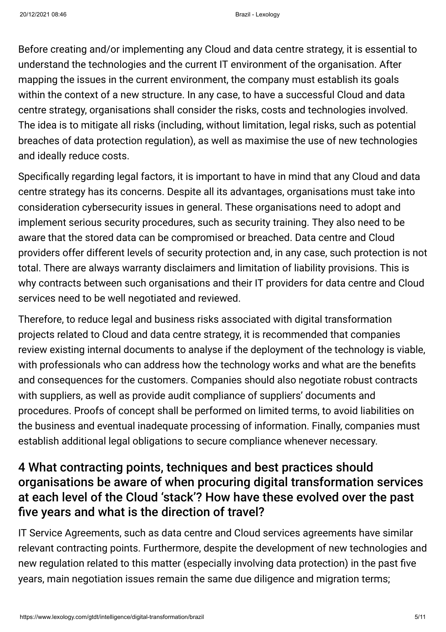Before creating and/or implementing any Cloud and data centre strategy, it is essential to understand the technologies and the current IT environment of the organisation. After mapping the issues in the current environment, the company must establish its goals within the context of a new structure. In any case, to have a successful Cloud and data centre strategy, organisations shall consider the risks, costs and technologies involved. The idea is to mitigate all risks (including, without limitation, legal risks, such as potential breaches of data protection regulation), as well as maximise the use of new technologies and ideally reduce costs.

Specifically regarding legal factors, it is important to have in mind that any Cloud and data centre strategy has its concerns. Despite all its advantages, organisations must take into consideration cybersecurity issues in general. These organisations need to adopt and implement serious security procedures, such as security training. They also need to be aware that the stored data can be compromised or breached. Data centre and Cloud providers offer different levels of security protection and, in any case, such protection is not total. There are always warranty disclaimers and limitation of liability provisions. This is why contracts between such organisations and their IT providers for data centre and Cloud services need to be well negotiated and reviewed.

Therefore, to reduce legal and business risks associated with digital transformation projects related to Cloud and data centre strategy, it is recommended that companies review existing internal documents to analyse if the deployment of the technology is viable, with professionals who can address how the technology works and what are the benefits and consequences for the customers. Companies should also negotiate robust contracts with suppliers, as well as provide audit compliance of suppliers' documents and procedures. Proofs of concept shall be performed on limited terms, to avoid liabilities on the business and eventual inadequate processing of information. Finally, companies must establish additional legal obligations to secure compliance whenever necessary.

#### 4 What contracting points, techniques and best practices should organisations be aware of when procuring digital transformation services at each level of the Cloud 'stack'? How have these evolved over the past five years and what is the direction of travel?

IT Service Agreements, such as data centre and Cloud services agreements have similar relevant contracting points. Furthermore, despite the development of new technologies and new regulation related to this matter (especially involving data protection) in the past five years, main negotiation issues remain the same due diligence and migration terms;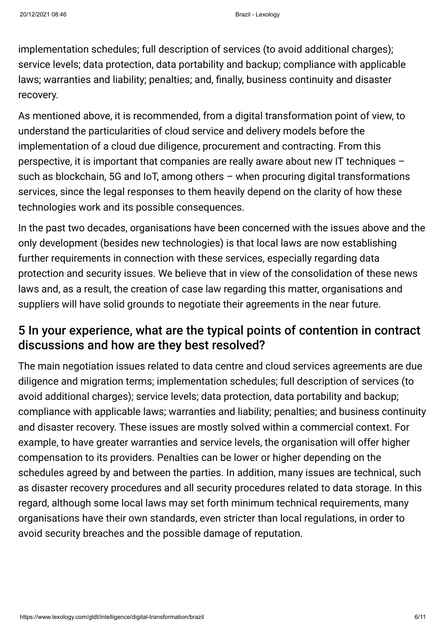implementation schedules; full description of services (to avoid additional charges); service levels; data protection, data portability and backup; compliance with applicable laws; warranties and liability; penalties; and, finally, business continuity and disaster recovery.

As mentioned above, it is recommended, from a digital transformation point of view, to understand the particularities of cloud service and delivery models before the implementation of a cloud due diligence, procurement and contracting. From this perspective, it is important that companies are really aware about new IT techniques – such as blockchain, 5G and IoT, among others – when procuring digital transformations services, since the legal responses to them heavily depend on the clarity of how these technologies work and its possible consequences.

In the past two decades, organisations have been concerned with the issues above and the only development (besides new technologies) is that local laws are now establishing further requirements in connection with these services, especially regarding data protection and security issues. We believe that in view of the consolidation of these news laws and, as a result, the creation of case law regarding this matter, organisations and suppliers will have solid grounds to negotiate their agreements in the near future.

#### 5 In your experience, what are the typical points of contention in contract discussions and how are they best resolved?

The main negotiation issues related to data centre and cloud services agreements are due diligence and migration terms; implementation schedules; full description of services (to avoid additional charges); service levels; data protection, data portability and backup; compliance with applicable laws; warranties and liability; penalties; and business continuity and disaster recovery. These issues are mostly solved within a commercial context. For example, to have greater warranties and service levels, the organisation will offer higher compensation to its providers. Penalties can be lower or higher depending on the schedules agreed by and between the parties. In addition, many issues are technical, such as disaster recovery procedures and all security procedures related to data storage. In this regard, although some local laws may set forth minimum technical requirements, many organisations have their own standards, even stricter than local regulations, in order to avoid security breaches and the possible damage of reputation.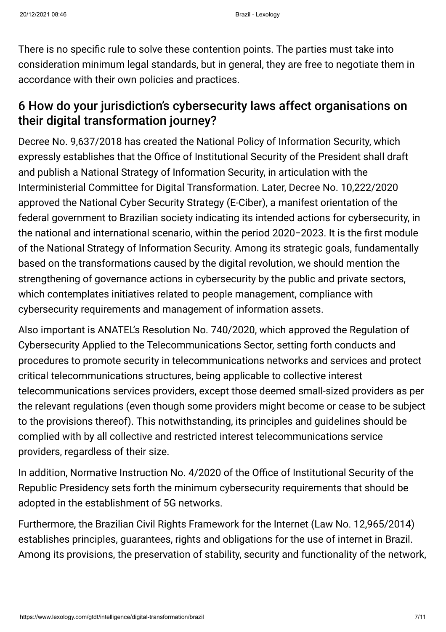There is no specific rule to solve these contention points. The parties must take into consideration minimum legal standards, but in general, they are free to negotiate them in accordance with their own policies and practices.

#### 6 How do your jurisdiction's cybersecurity laws affect organisations on their digital transformation journey?

Decree No. 9,637/2018 has created the National Policy of Information Security, which expressly establishes that the Office of Institutional Security of the President shall draft and publish a National Strategy of Information Security, in articulation with the Interministerial Committee for Digital Transformation. Later, Decree No. 10,222/2020 approved the National Cyber Security Strategy (E-Ciber), a manifest orientation of the federal government to Brazilian society indicating its intended actions for cybersecurity, in the national and international scenario, within the period 2020−2023. It is the first module of the National Strategy of Information Security. Among its strategic goals, fundamentally based on the transformations caused by the digital revolution, we should mention the strengthening of governance actions in cybersecurity by the public and private sectors, which contemplates initiatives related to people management, compliance with cybersecurity requirements and management of information assets.

Also important is ANATEL's Resolution No. 740/2020, which approved the Regulation of Cybersecurity Applied to the Telecommunications Sector, setting forth conducts and procedures to promote security in telecommunications networks and services and protect critical telecommunications structures, being applicable to collective interest telecommunications services providers, except those deemed small-sized providers as per the relevant regulations (even though some providers might become or cease to be subject to the provisions thereof). This notwithstanding, its principles and guidelines should be complied with by all collective and restricted interest telecommunications service providers, regardless of their size.

In addition, Normative Instruction No. 4/2020 of the Office of Institutional Security of the Republic Presidency sets forth the minimum cybersecurity requirements that should be adopted in the establishment of 5G networks.

Furthermore, the Brazilian Civil Rights Framework for the Internet (Law No. 12,965/2014) establishes principles, guarantees, rights and obligations for the use of internet in Brazil. Among its provisions, the preservation of stability, security and functionality of the network,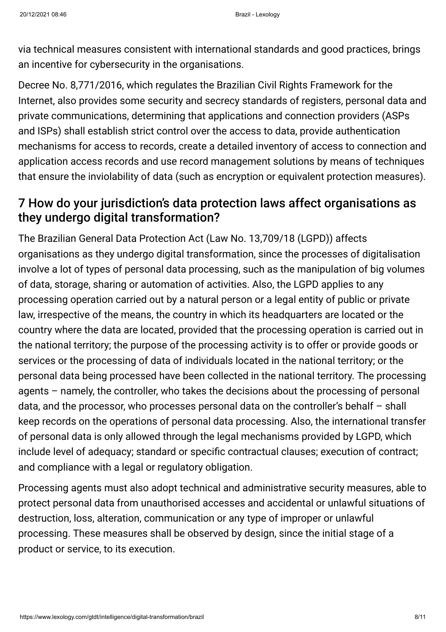via technical measures consistent with international standards and good practices, brings an incentive for cybersecurity in the organisations.

Decree No. 8,771/2016, which regulates the Brazilian Civil Rights Framework for the Internet, also provides some security and secrecy standards of registers, personal data and private communications, determining that applications and connection providers (ASPs and ISPs) shall establish strict control over the access to data, provide authentication mechanisms for access to records, create a detailed inventory of access to connection and application access records and use record management solutions by means of techniques that ensure the inviolability of data (such as encryption or equivalent protection measures).

#### 7 How do your jurisdiction's data protection laws affect organisations as they undergo digital transformation?

The Brazilian General Data Protection Act (Law No. 13,709/18 (LGPD)) affects organisations as they undergo digital transformation, since the processes of digitalisation involve a lot of types of personal data processing, such as the manipulation of big volumes of data, storage, sharing or automation of activities. Also, the LGPD applies to any processing operation carried out by a natural person or a legal entity of public or private law, irrespective of the means, the country in which its headquarters are located or the country where the data are located, provided that the processing operation is carried out in the national territory; the purpose of the processing activity is to offer or provide goods or services or the processing of data of individuals located in the national territory; or the personal data being processed have been collected in the national territory. The processing agents – namely, the controller, who takes the decisions about the processing of personal data, and the processor, who processes personal data on the controller's behalf – shall keep records on the operations of personal data processing. Also, the international transfer of personal data is only allowed through the legal mechanisms provided by LGPD, which include level of adequacy; standard or specific contractual clauses; execution of contract; and compliance with a legal or regulatory obligation.

Processing agents must also adopt technical and administrative security measures, able to protect personal data from unauthorised accesses and accidental or unlawful situations of destruction, loss, alteration, communication or any type of improper or unlawful processing. These measures shall be observed by design, since the initial stage of a product or service, to its execution.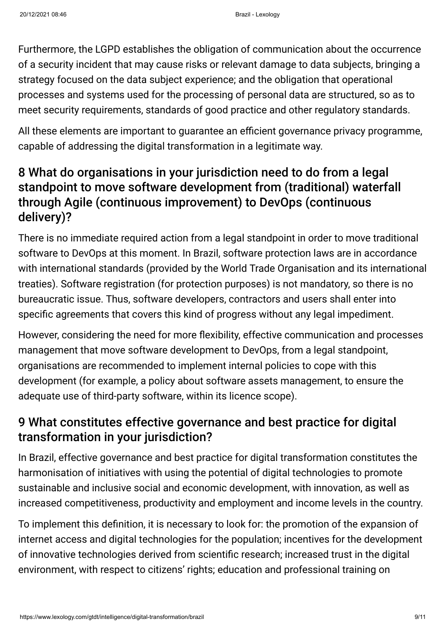Furthermore, the LGPD establishes the obligation of communication about the occurrence of a security incident that may cause risks or relevant damage to data subjects, bringing a strategy focused on the data subject experience; and the obligation that operational processes and systems used for the processing of personal data are structured, so as to meet security requirements, standards of good practice and other regulatory standards.

All these elements are important to guarantee an efficient governance privacy programme, capable of addressing the digital transformation in a legitimate way.

## 8 What do organisations in your jurisdiction need to do from a legal standpoint to move software development from (traditional) waterfall through Agile (continuous improvement) to DevOps (continuous delivery)?

There is no immediate required action from a legal standpoint in order to move traditional software to DevOps at this moment. In Brazil, software protection laws are in accordance with international standards (provided by the World Trade Organisation and its international treaties). Software registration (for protection purposes) is not mandatory, so there is no bureaucratic issue. Thus, software developers, contractors and users shall enter into specific agreements that covers this kind of progress without any legal impediment.

However, considering the need for more flexibility, effective communication and processes management that move software development to DevOps, from a legal standpoint, organisations are recommended to implement internal policies to cope with this development (for example, a policy about software assets management, to ensure the adequate use of third-party software, within its licence scope).

#### 9 What constitutes effective governance and best practice for digital transformation in your jurisdiction?

In Brazil, effective governance and best practice for digital transformation constitutes the harmonisation of initiatives with using the potential of digital technologies to promote sustainable and inclusive social and economic development, with innovation, as well as increased competitiveness, productivity and employment and income levels in the country.

To implement this definition, it is necessary to look for: the promotion of the expansion of internet access and digital technologies for the population; incentives for the development of innovative technologies derived from scientific research; increased trust in the digital environment, with respect to citizens' rights; education and professional training on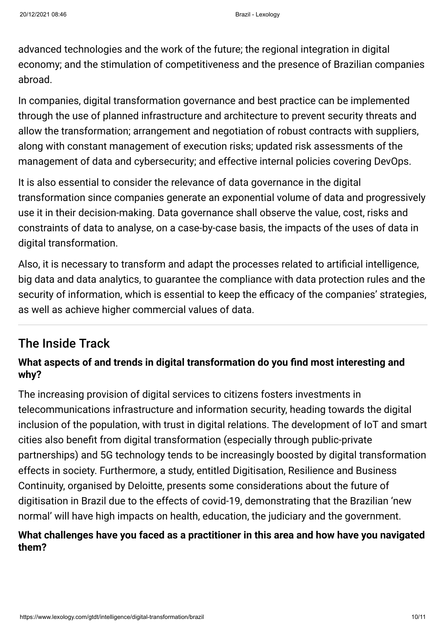advanced technologies and the work of the future; the regional integration in digital economy; and the stimulation of competitiveness and the presence of Brazilian companies abroad.

In companies, digital transformation governance and best practice can be implemented through the use of planned infrastructure and architecture to prevent security threats and allow the transformation; arrangement and negotiation of robust contracts with suppliers, along with constant management of execution risks; updated risk assessments of the management of data and cybersecurity; and effective internal policies covering DevOps.

It is also essential to consider the relevance of data governance in the digital transformation since companies generate an exponential volume of data and progressively use it in their decision-making. Data governance shall observe the value, cost, risks and constraints of data to analyse, on a case-by-case basis, the impacts of the uses of data in digital transformation.

Also, it is necessary to transform and adapt the processes related to artificial intelligence, big data and data analytics, to guarantee the compliance with data protection rules and the security of information, which is essential to keep the efficacy of the companies' strategies, as well as achieve higher commercial values of data.

#### The Inside Track

#### **What aspects of and trends in digital transformation do you find most interesting and why?**

The increasing provision of digital services to citizens fosters investments in telecommunications infrastructure and information security, heading towards the digital inclusion of the population, with trust in digital relations. The development of IoT and smart cities also benefit from digital transformation (especially through public-private partnerships) and 5G technology tends to be increasingly boosted by digital transformation effects in society. Furthermore, a study, entitled Digitisation, Resilience and Business Continuity, organised by Deloitte, presents some considerations about the future of digitisation in Brazil due to the effects of covid-19, demonstrating that the Brazilian 'new normal' will have high impacts on health, education, the judiciary and the government.

#### **What challenges have you faced as a practitioner in this area and how have you navigated them?**